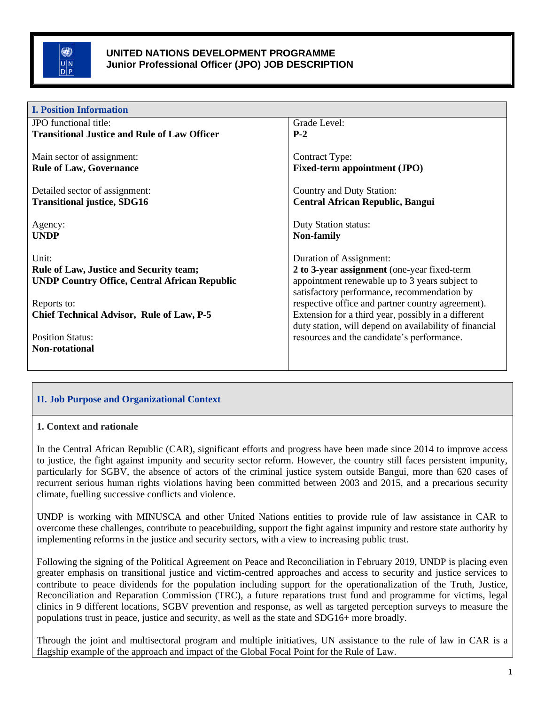

| <b>I. Position Information</b>                       |                                                        |  |
|------------------------------------------------------|--------------------------------------------------------|--|
| JPO functional title:                                | Grade Level:                                           |  |
| <b>Transitional Justice and Rule of Law Officer</b>  | $P-2$                                                  |  |
|                                                      |                                                        |  |
| Main sector of assignment:                           | Contract Type:                                         |  |
| <b>Rule of Law, Governance</b>                       | <b>Fixed-term appointment (JPO)</b>                    |  |
|                                                      |                                                        |  |
| Detailed sector of assignment:                       | Country and Duty Station:                              |  |
| <b>Transitional justice, SDG16</b>                   | <b>Central African Republic, Bangui</b>                |  |
|                                                      |                                                        |  |
| Agency:                                              | <b>Duty Station status:</b>                            |  |
| <b>UNDP</b>                                          | Non-family                                             |  |
|                                                      |                                                        |  |
| Unit:                                                | Duration of Assignment:                                |  |
| <b>Rule of Law, Justice and Security team;</b>       | 2 to 3-year assignment (one-year fixed-term            |  |
| <b>UNDP Country Office, Central African Republic</b> | appointment renewable up to 3 years subject to         |  |
|                                                      | satisfactory performance, recommendation by            |  |
| Reports to:                                          | respective office and partner country agreement).      |  |
| <b>Chief Technical Advisor, Rule of Law, P-5</b>     | Extension for a third year, possibly in a different    |  |
|                                                      | duty station, will depend on availability of financial |  |
| <b>Position Status:</b>                              | resources and the candidate's performance.             |  |
| Non-rotational                                       |                                                        |  |
|                                                      |                                                        |  |

# **II. Job Purpose and Organizational Context**

#### **1. Context and rationale**

In the Central African Republic (CAR), significant efforts and progress have been made since 2014 to improve access to justice, the fight against impunity and security sector reform. However, the country still faces persistent impunity, particularly for SGBV, the absence of actors of the criminal justice system outside Bangui, more than 620 cases of recurrent serious human rights violations having been committed between 2003 and 2015, and a precarious security climate, fuelling successive conflicts and violence.

UNDP is working with MINUSCA and other United Nations entities to provide rule of law assistance in CAR to overcome these challenges, contribute to peacebuilding, support the fight against impunity and restore state authority by implementing reforms in the justice and security sectors, with a view to increasing public trust.

Following the signing of the Political Agreement on Peace and Reconciliation in February 2019, UNDP is placing even greater emphasis on transitional justice and victim-centred approaches and access to security and justice services to contribute to peace dividends for the population including support for the operationalization of the Truth, Justice, Reconciliation and Reparation Commission (TRC), a future reparations trust fund and programme for victims, legal clinics in 9 different locations, SGBV prevention and response, as well as targeted perception surveys to measure the populations trust in peace, justice and security, as well as the state and SDG16+ more broadly.

Through the joint and multisectoral program and multiple initiatives, UN assistance to the rule of law in CAR is a flagship example of the approach and impact of the Global Focal Point for the Rule of Law.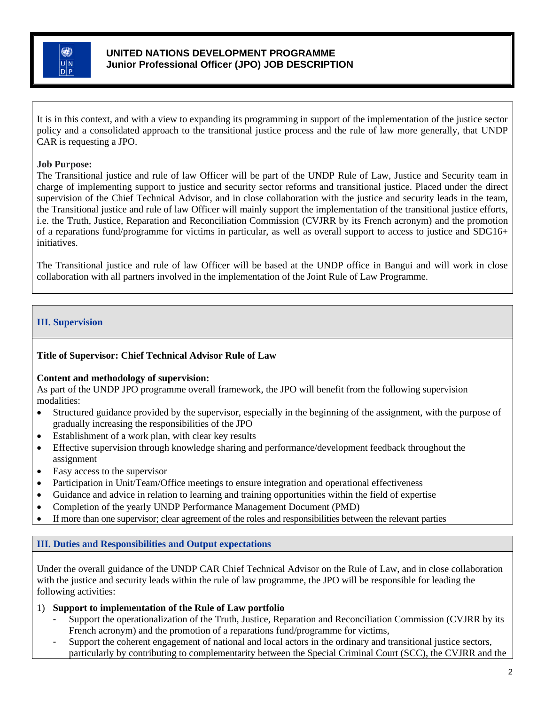

It is in this context, and with a view to expanding its programming in support of the implementation of the justice sector policy and a consolidated approach to the transitional justice process and the rule of law more generally, that UNDP CAR is requesting a JPO.

### **Job Purpose:**

The Transitional justice and rule of law Officer will be part of the UNDP Rule of Law, Justice and Security team in charge of implementing support to justice and security sector reforms and transitional justice. Placed under the direct supervision of the Chief Technical Advisor, and in close collaboration with the justice and security leads in the team, the Transitional justice and rule of law Officer will mainly support the implementation of the transitional justice efforts, i.e. the Truth, Justice, Reparation and Reconciliation Commission (CVJRR by its French acronym) and the promotion of a reparations fund/programme for victims in particular, as well as overall support to access to justice and SDG16+ initiatives.

The Transitional justice and rule of law Officer will be based at the UNDP office in Bangui and will work in close collaboration with all partners involved in the implementation of the Joint Rule of Law Programme.

### **III. Supervision**

#### **Title of Supervisor: Chief Technical Advisor Rule of Law**

#### **Content and methodology of supervision:**

As part of the UNDP JPO programme overall framework, the JPO will benefit from the following supervision modalities:

- Structured guidance provided by the supervisor, especially in the beginning of the assignment, with the purpose of gradually increasing the responsibilities of the JPO
- Establishment of a work plan, with clear key results
- Effective supervision through knowledge sharing and performance/development feedback throughout the assignment
- Easy access to the supervisor
- Participation in Unit/Team/Office meetings to ensure integration and operational effectiveness
- Guidance and advice in relation to learning and training opportunities within the field of expertise
- Completion of the yearly UNDP Performance Management Document (PMD)
- If more than one supervisor; clear agreement of the roles and responsibilities between the relevant parties

#### **III. Duties and Responsibilities and Output expectations**

Under the overall guidance of the UNDP CAR Chief Technical Advisor on the Rule of Law, and in close collaboration with the justice and security leads within the rule of law programme, the JPO will be responsible for leading the following activities:

1) **Support to implementation of the Rule of Law portfolio**

- Support the operationalization of the Truth, Justice, Reparation and Reconciliation Commission (CVJRR by its French acronym) and the promotion of a reparations fund/programme for victims,
- Support the coherent engagement of national and local actors in the ordinary and transitional justice sectors, particularly by contributing to complementarity between the Special Criminal Court (SCC), the CVJRR and the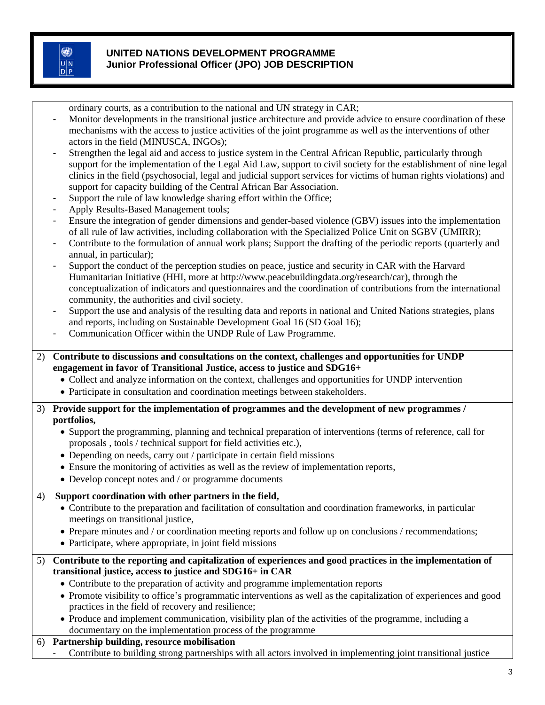0  $\overline{U|N}$  $\overline{D|P}$ 

## **UNITED NATIONS DEVELOPMENT PROGRAMME Junior Professional Officer (JPO) JOB DESCRIPTION**

ordinary courts, as a contribution to the national and UN strategy in CAR;

- Monitor developments in the transitional justice architecture and provide advice to ensure coordination of these mechanisms with the access to justice activities of the joint programme as well as the interventions of other actors in the field (MINUSCA, INGOs);
- Strengthen the legal aid and access to justice system in the Central African Republic, particularly through support for the implementation of the Legal Aid Law, support to civil society for the establishment of nine legal clinics in the field (psychosocial, legal and judicial support services for victims of human rights violations) and support for capacity building of the Central African Bar Association.
- Support the rule of law knowledge sharing effort within the Office;
- Apply Results-Based Management tools;
- Ensure the integration of gender dimensions and gender-based violence (GBV) issues into the implementation of all rule of law activities, including collaboration with the Specialized Police Unit on SGBV (UMIRR);
- Contribute to the formulation of annual work plans; Support the drafting of the periodic reports (quarterly and annual, in particular);
- Support the conduct of the perception studies on peace, justice and security in CAR with the Harvard Humanitarian Initiative (HHI, more at http://www.peacebuildingdata.org/research/car), through the conceptualization of indicators and questionnaires and the coordination of contributions from the international community, the authorities and civil society.
- Support the use and analysis of the resulting data and reports in national and United Nations strategies, plans and reports, including on Sustainable Development Goal 16 (SD Goal 16);
- Communication Officer within the UNDP Rule of Law Programme.
- 2) **Contribute to discussions and consultations on the context, challenges and opportunities for UNDP engagement in favor of Transitional Justice, access to justice and SDG16+**
	- Collect and analyze information on the context, challenges and opportunities for UNDP intervention
	- Participate in consultation and coordination meetings between stakeholders.
- 3) **Provide support for the implementation of programmes and the development of new programmes / portfolios,**
	- Support the programming, planning and technical preparation of interventions (terms of reference, call for proposals , tools / technical support for field activities etc.),
	- Depending on needs, carry out / participate in certain field missions
	- Ensure the monitoring of activities as well as the review of implementation reports,
	- Develop concept notes and / or programme documents

# 4) **Support coordination with other partners in the field,**

• Contribute to the preparation and facilitation of consultation and coordination frameworks, in particular meetings on transitional justice,

- Prepare minutes and / or coordination meeting reports and follow up on conclusions / recommendations;
- Participate, where appropriate, in joint field missions
- 5) **Contribute to the reporting and capitalization of experiences and good practices in the implementation of transitional justice, access to justice and SDG16+ in CAR**
	- Contribute to the preparation of activity and programme implementation reports
	- Promote visibility to office's programmatic interventions as well as the capitalization of experiences and good practices in the field of recovery and resilience;
	- Produce and implement communication, visibility plan of the activities of the programme, including a documentary on the implementation process of the programme

# 6) **Partnership building, resource mobilisation**

- Contribute to building strong partnerships with all actors involved in implementing joint transitional justice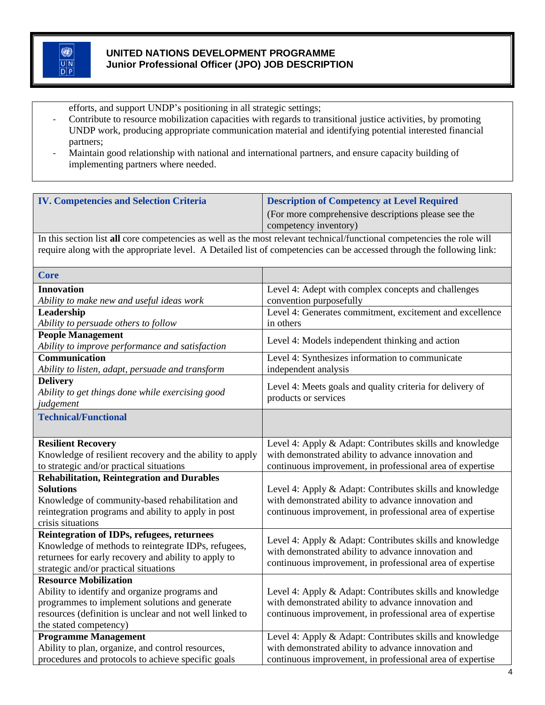efforts, and support UNDP's positioning in all strategic settings;

- Contribute to resource mobilization capacities with regards to transitional justice activities, by promoting UNDP work, producing appropriate communication material and identifying potential interested financial partners;
- Maintain good relationship with national and international partners, and ensure capacity building of implementing partners where needed.

| <b>IV. Competencies and Selection Criteria</b> | <b>Description of Competency at Level Required</b>  |
|------------------------------------------------|-----------------------------------------------------|
|                                                | (For more comprehensive descriptions please see the |
|                                                | competency inventory)                               |

In this section list **all** core competencies as well as the most relevant technical/functional competencies the role will require along with the appropriate level. A Detailed list of competencies can be accessed through the following link:

| <b>Core</b>                                                                 |                                                                                   |
|-----------------------------------------------------------------------------|-----------------------------------------------------------------------------------|
| <b>Innovation</b>                                                           | Level 4: Adept with complex concepts and challenges                               |
| Ability to make new and useful ideas work                                   | convention purposefully                                                           |
| Leadership                                                                  | Level 4: Generates commitment, excitement and excellence                          |
| Ability to persuade others to follow                                        | in others                                                                         |
| <b>People Management</b><br>Ability to improve performance and satisfaction | Level 4: Models independent thinking and action                                   |
| <b>Communication</b>                                                        | Level 4: Synthesizes information to communicate                                   |
| Ability to listen, adapt, persuade and transform                            | independent analysis                                                              |
| <b>Delivery</b>                                                             |                                                                                   |
| Ability to get things done while exercising good                            | Level 4: Meets goals and quality criteria for delivery of<br>products or services |
| judgement                                                                   |                                                                                   |
| <b>Technical/Functional</b>                                                 |                                                                                   |
|                                                                             |                                                                                   |
| <b>Resilient Recovery</b>                                                   | Level 4: Apply & Adapt: Contributes skills and knowledge                          |
| Knowledge of resilient recovery and the ability to apply                    | with demonstrated ability to advance innovation and                               |
| to strategic and/or practical situations                                    | continuous improvement, in professional area of expertise                         |
| <b>Rehabilitation, Reintegration and Durables</b>                           |                                                                                   |
| <b>Solutions</b>                                                            | Level 4: Apply & Adapt: Contributes skills and knowledge                          |
| Knowledge of community-based rehabilitation and                             | with demonstrated ability to advance innovation and                               |
| reintegration programs and ability to apply in post                         | continuous improvement, in professional area of expertise                         |
| crisis situations                                                           |                                                                                   |
| Reintegration of IDPs, refugees, returnees                                  | Level 4: Apply & Adapt: Contributes skills and knowledge                          |
| Knowledge of methods to reintegrate IDPs, refugees,                         | with demonstrated ability to advance innovation and                               |
| returnees for early recovery and ability to apply to                        | continuous improvement, in professional area of expertise                         |
| strategic and/or practical situations                                       |                                                                                   |
| <b>Resource Mobilization</b>                                                |                                                                                   |
| Ability to identify and organize programs and                               | Level 4: Apply & Adapt: Contributes skills and knowledge                          |
| programmes to implement solutions and generate                              | with demonstrated ability to advance innovation and                               |
| resources (definition is unclear and not well linked to                     | continuous improvement, in professional area of expertise                         |
| the stated competency)                                                      |                                                                                   |
| <b>Programme Management</b>                                                 | Level 4: Apply & Adapt: Contributes skills and knowledge                          |
| Ability to plan, organize, and control resources,                           | with demonstrated ability to advance innovation and                               |
| procedures and protocols to achieve specific goals                          | continuous improvement, in professional area of expertise                         |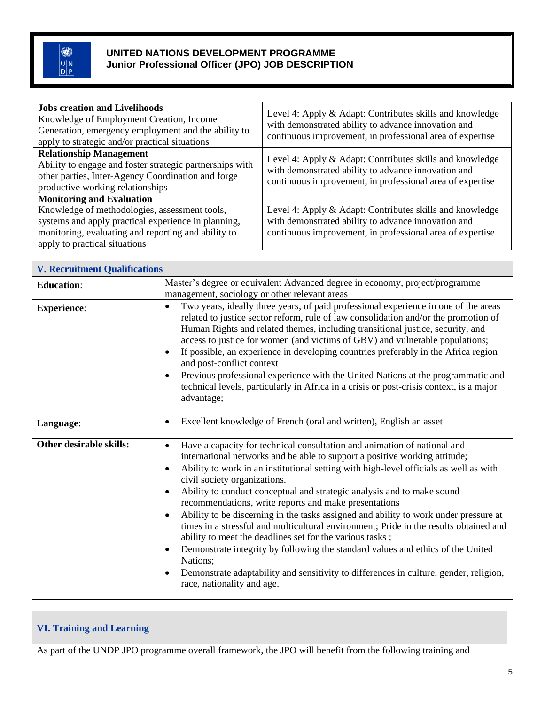| <b>Jobs creation and Livelihoods</b><br>Knowledge of Employment Creation, Income<br>Generation, emergency employment and the ability to<br>apply to strategic and/or practical situations                                        | Level 4: Apply & Adapt: Contributes skills and knowledge<br>with demonstrated ability to advance innovation and<br>continuous improvement, in professional area of expertise |
|----------------------------------------------------------------------------------------------------------------------------------------------------------------------------------------------------------------------------------|------------------------------------------------------------------------------------------------------------------------------------------------------------------------------|
| <b>Relationship Management</b><br>Ability to engage and foster strategic partnerships with<br>other parties, Inter-Agency Coordination and forge<br>productive working relationships                                             | Level 4: Apply & Adapt: Contributes skills and knowledge<br>with demonstrated ability to advance innovation and<br>continuous improvement, in professional area of expertise |
| <b>Monitoring and Evaluation</b><br>Knowledge of methodologies, assessment tools,<br>systems and apply practical experience in planning,<br>monitoring, evaluating and reporting and ability to<br>apply to practical situations | Level 4: Apply & Adapt: Contributes skills and knowledge<br>with demonstrated ability to advance innovation and<br>continuous improvement, in professional area of expertise |

| <b>V. Recruitment Qualifications</b> |                                                                                                                                                                                                                                                                                                                                                                                                                                                                                                                                                                                                                                                                                                                                                                                                                                                                                                                                   |
|--------------------------------------|-----------------------------------------------------------------------------------------------------------------------------------------------------------------------------------------------------------------------------------------------------------------------------------------------------------------------------------------------------------------------------------------------------------------------------------------------------------------------------------------------------------------------------------------------------------------------------------------------------------------------------------------------------------------------------------------------------------------------------------------------------------------------------------------------------------------------------------------------------------------------------------------------------------------------------------|
| <b>Education:</b>                    | Master's degree or equivalent Advanced degree in economy, project/programme<br>management, sociology or other relevant areas                                                                                                                                                                                                                                                                                                                                                                                                                                                                                                                                                                                                                                                                                                                                                                                                      |
| <b>Experience:</b>                   | Two years, ideally three years, of paid professional experience in one of the areas<br>$\bullet$<br>related to justice sector reform, rule of law consolidation and/or the promotion of<br>Human Rights and related themes, including transitional justice, security, and<br>access to justice for women (and victims of GBV) and vulnerable populations;<br>If possible, an experience in developing countries preferably in the Africa region<br>and post-conflict context<br>Previous professional experience with the United Nations at the programmatic and<br>technical levels, particularly in Africa in a crisis or post-crisis context, is a major<br>advantage;                                                                                                                                                                                                                                                         |
| Language:                            | Excellent knowledge of French (oral and written), English an asset<br>٠                                                                                                                                                                                                                                                                                                                                                                                                                                                                                                                                                                                                                                                                                                                                                                                                                                                           |
| <b>Other desirable skills:</b>       | Have a capacity for technical consultation and animation of national and<br>$\bullet$<br>international networks and be able to support a positive working attitude;<br>Ability to work in an institutional setting with high-level officials as well as with<br>civil society organizations.<br>Ability to conduct conceptual and strategic analysis and to make sound<br>$\bullet$<br>recommendations, write reports and make presentations<br>Ability to be discerning in the tasks assigned and ability to work under pressure at<br>$\bullet$<br>times in a stressful and multicultural environment; Pride in the results obtained and<br>ability to meet the deadlines set for the various tasks;<br>Demonstrate integrity by following the standard values and ethics of the United<br>٠<br>Nations;<br>Demonstrate adaptability and sensitivity to differences in culture, gender, religion,<br>race, nationality and age. |

## **VI. Training and Learning**

As part of the UNDP JPO programme overall framework, the JPO will benefit from the following training and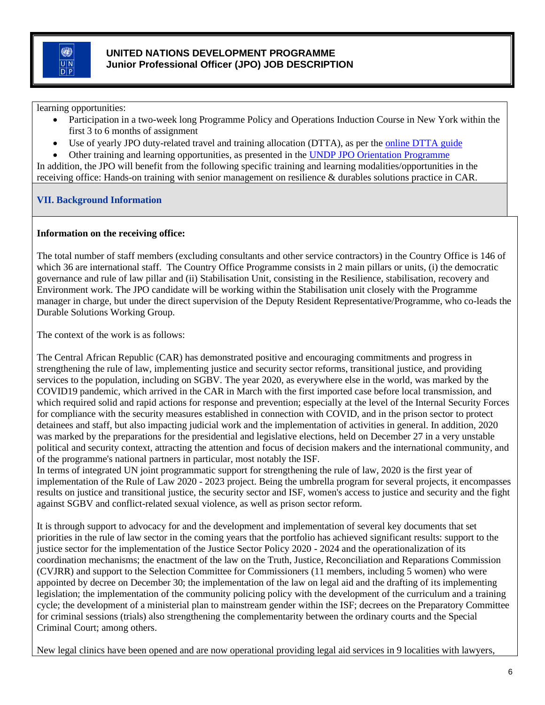learning opportunities:

- Participation in a two-week long Programme Policy and Operations Induction Course in New York within the first 3 to 6 months of assignment
- Use of yearly JPO duty-related travel and training allocation (DTTA), as per the **online DTTA** guide
- Other training and learning opportunities, as presented in the [UNDP JPO Orientation Programme](http://www.jposc.org/documents/UNDP_JPO_Orientation_Programme.docx)

In addition, the JPO will benefit from the following specific training and learning modalities/opportunities in the receiving office: Hands-on training with senior management on resilience & durables solutions practice in CAR.

# **VII. Background Information**

## **Information on the receiving office:**

The total number of staff members (excluding consultants and other service contractors) in the Country Office is 146 of which 36 are international staff. The Country Office Programme consists in 2 main pillars or units, (i) the democratic governance and rule of law pillar and (ii) Stabilisation Unit, consisting in the Resilience, stabilisation, recovery and Environment work. The JPO candidate will be working within the Stabilisation unit closely with the Programme manager in charge, but under the direct supervision of the Deputy Resident Representative/Programme, who co-leads the Durable Solutions Working Group.

The context of the work is as follows:

The Central African Republic (CAR) has demonstrated positive and encouraging commitments and progress in strengthening the rule of law, implementing justice and security sector reforms, transitional justice, and providing services to the population, including on SGBV. The year 2020, as everywhere else in the world, was marked by the COVID19 pandemic, which arrived in the CAR in March with the first imported case before local transmission, and which required solid and rapid actions for response and prevention; especially at the level of the Internal Security Forces for compliance with the security measures established in connection with COVID, and in the prison sector to protect detainees and staff, but also impacting judicial work and the implementation of activities in general. In addition, 2020 was marked by the preparations for the presidential and legislative elections, held on December 27 in a very unstable political and security context, attracting the attention and focus of decision makers and the international community, and of the programme's national partners in particular, most notably the ISF.

In terms of integrated UN joint programmatic support for strengthening the rule of law, 2020 is the first year of implementation of the Rule of Law 2020 - 2023 project. Being the umbrella program for several projects, it encompasses results on justice and transitional justice, the security sector and ISF, women's access to justice and security and the fight against SGBV and conflict-related sexual violence, as well as prison sector reform.

It is through support to advocacy for and the development and implementation of several key documents that set priorities in the rule of law sector in the coming years that the portfolio has achieved significant results: support to the justice sector for the implementation of the Justice Sector Policy 2020 - 2024 and the operationalization of its coordination mechanisms; the enactment of the law on the Truth, Justice, Reconciliation and Reparations Commission (CVJRR) and support to the Selection Committee for Commissioners (11 members, including 5 women) who were appointed by decree on December 30; the implementation of the law on legal aid and the drafting of its implementing legislation; the implementation of the community policing policy with the development of the curriculum and a training cycle; the development of a ministerial plan to mainstream gender within the ISF; decrees on the Preparatory Committee for criminal sessions (trials) also strengthening the complementarity between the ordinary courts and the Special Criminal Court; among others.

New legal clinics have been opened and are now operational providing legal aid services in 9 localities with lawyers,